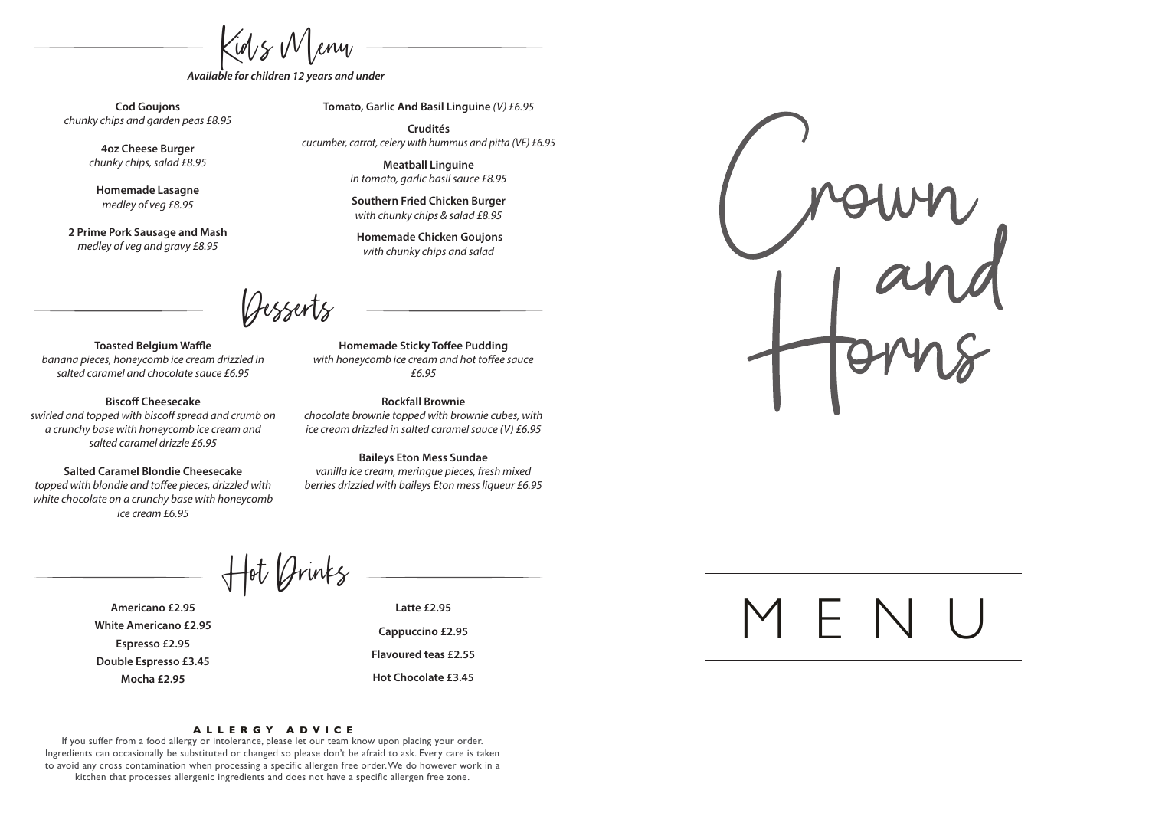$\zeta$ id/s W/eny

*Available for children 12 years and under* 

**Cod Goujons** *chunky chips and garden peas £8.95*

> **4oz Cheese Burger** *chunky chips, salad £8.95*

**Homemade Lasagne** *medley of veg £8.95*

**2 Prime Pork Sausage and Mash** *medley of veg and gravy £8.95*

**Tomato, Garlic And Basil Linguine** *(V) £6.95*

**Crudités** *cucumber, carrot, celery with hummus and pitta (VE) £6.95*

> **Meatball Linguine** *in tomato, garlic basil sauce £8.95*

**Southern Fried Chicken Burger** *with chunky chips & salad £8.95*

 **Homemade Chicken Goujons**  *with chunky chips and salad*

Desserts

**Toasted Belgium Waffle** *banana pieces, honeycomb ice cream drizzled in salted caramel and chocolate sauce £6.95*

**Biscoff Cheesecake** swirled and topped with biscoff spread and crumb on *a crunchy base with honeycomb ice cream and salted caramel drizzle £6.95*

**Salted Caramel Blondie Cheesecake** topped with blondie and toffee pieces, drizzled with *white chocolate on a crunchy base with honeycomb ice cream £6.95*

**Homemade Sticky Toffee Pudding** with honeycomb ice cream and hot toffee sauce *£6.95*

**Rockfall Brownie** *chocolate brownie topped with brownie cubes, with ice cream drizzled in salted caramel sauce (V) £6.95*

**Baileys Eton Mess Sundae**  *vanilla ice cream, meringue pieces, fresh mixed berries drizzled with baileys Eton mess liqueur £6.95*

Hot Drinks

**Americano £2.95 White Americano £2.95 Espresso £2.95 Double Espresso £3.45 Mocha £2.95** 

**Latte £2.95 Cappuccino £2.95** 

**Flavoured teas £2.55**

**Hot Chocolate £3.45** 

If you suffer from a food allergy or intolerance, please let our team know upon placing your order. Ingredients can occasionally be substituted or changed so please don't be afraid to ask. Every care is taken to avoid any cross contamination when processing a specific allergen free order.We do however work in a kitchen that processes allergenic ingredients and does not have a specific allergen free zone.

**A LLE R GY A D V I C E**

## MENU